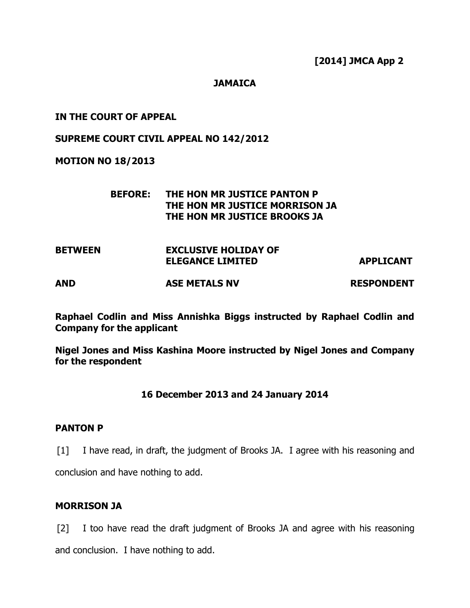## **JAMAICA**

## IN THE COURT OF APPEAL

### SUPREME COURT CIVIL APPEAL NO 142/2012

### MOTION NO 18/2013

# BEFORE: THE HON MR JUSTICE PANTON P THE HON MR JUSTICE MORRISON JA THE HON MR JUSTICE BROOKS JA

| <b>BETWEEN</b> | <b>EXCLUSIVE HOLIDAY OF</b><br><b>ELEGANCE LIMITED</b> |                   |
|----------------|--------------------------------------------------------|-------------------|
|                |                                                        | <b>APPLICANT</b>  |
| <b>AND</b>     | <b>ASE METALS NV</b>                                   | <b>RESPONDENT</b> |

Raphael Codlin and Miss Annishka Biggs instructed by Raphael Codlin and Company for the applicant

Nigel Jones and Miss Kashina Moore instructed by Nigel Jones and Company for the respondent

# 16 December 2013 and 24 January 2014

### PANTON P

[1] I have read, in draft, the judgment of Brooks JA. I agree with his reasoning and

conclusion and have nothing to add.

# MORRISON JA

[2] I too have read the draft judgment of Brooks JA and agree with his reasoning

and conclusion. I have nothing to add.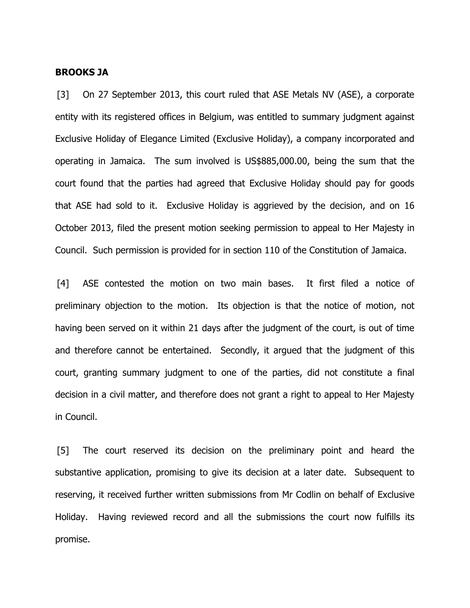#### BROOKS JA

[3] On 27 September 2013, this court ruled that ASE Metals NV (ASE), a corporate entity with its registered offices in Belgium, was entitled to summary judgment against Exclusive Holiday of Elegance Limited (Exclusive Holiday), a company incorporated and operating in Jamaica. The sum involved is US\$885,000.00, being the sum that the court found that the parties had agreed that Exclusive Holiday should pay for goods that ASE had sold to it. Exclusive Holiday is aggrieved by the decision, and on 16 October 2013, filed the present motion seeking permission to appeal to Her Majesty in Council. Such permission is provided for in section 110 of the Constitution of Jamaica.

[4] ASE contested the motion on two main bases. It first filed a notice of preliminary objection to the motion. Its objection is that the notice of motion, not having been served on it within 21 days after the judgment of the court, is out of time and therefore cannot be entertained. Secondly, it argued that the judgment of this court, granting summary judgment to one of the parties, did not constitute a final decision in a civil matter, and therefore does not grant a right to appeal to Her Majesty in Council.

[5] The court reserved its decision on the preliminary point and heard the substantive application, promising to give its decision at a later date. Subsequent to reserving, it received further written submissions from Mr Codlin on behalf of Exclusive Holiday. Having reviewed record and all the submissions the court now fulfills its promise.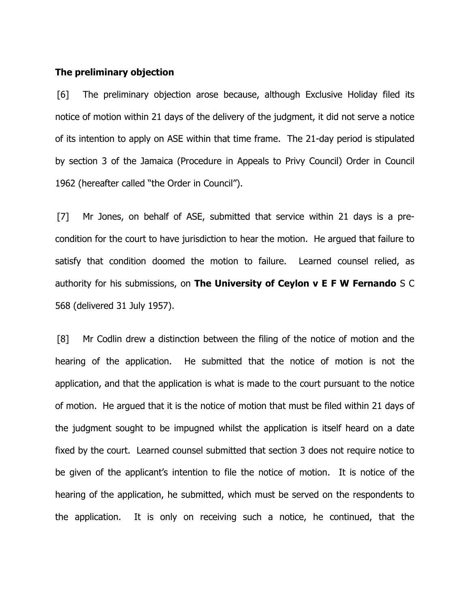#### The preliminary objection

[6] The preliminary objection arose because, although Exclusive Holiday filed its notice of motion within 21 days of the delivery of the judgment, it did not serve a notice of its intention to apply on ASE within that time frame. The 21-day period is stipulated by section 3 of the Jamaica (Procedure in Appeals to Privy Council) Order in Council 1962 (hereafter called "the Order in Council").

[7] Mr Jones, on behalf of ASE, submitted that service within 21 days is a precondition for the court to have jurisdiction to hear the motion. He argued that failure to satisfy that condition doomed the motion to failure. Learned counsel relied, as authority for his submissions, on The University of Ceylon  $v \, \mathsf{E} \, F \, W$  Fernando S C 568 (delivered 31 July 1957).

[8] Mr Codlin drew a distinction between the filing of the notice of motion and the hearing of the application. He submitted that the notice of motion is not the application, and that the application is what is made to the court pursuant to the notice of motion. He argued that it is the notice of motion that must be filed within 21 days of the judgment sought to be impugned whilst the application is itself heard on a date fixed by the court. Learned counsel submitted that section 3 does not require notice to be given of the applicant's intention to file the notice of motion. It is notice of the hearing of the application, he submitted, which must be served on the respondents to the application. It is only on receiving such a notice, he continued, that the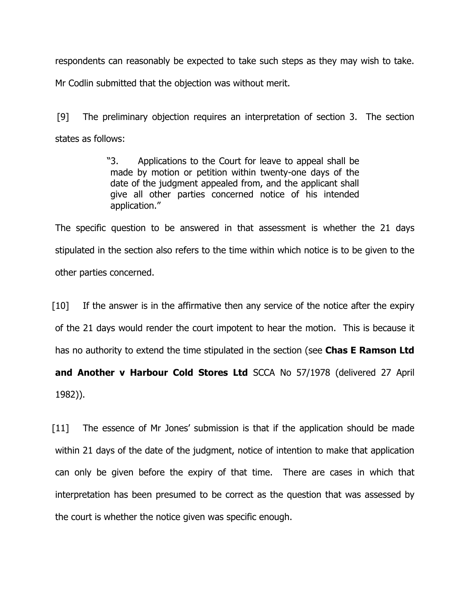respondents can reasonably be expected to take such steps as they may wish to take.

Mr Codlin submitted that the objection was without merit.

[9] The preliminary objection requires an interpretation of section 3. The section states as follows:

> "3. Applications to the Court for leave to appeal shall be made by motion or petition within twenty-one days of the date of the judgment appealed from, and the applicant shall give all other parties concerned notice of his intended application."

The specific question to be answered in that assessment is whether the 21 days stipulated in the section also refers to the time within which notice is to be given to the other parties concerned.

[10] If the answer is in the affirmative then any service of the notice after the expiry of the 21 days would render the court impotent to hear the motion. This is because it has no authority to extend the time stipulated in the section (see Chas E Ramson Ltd and Another v Harbour Cold Stores Ltd SCCA No 57/1978 (delivered 27 April 1982)).

[11] The essence of Mr Jones' submission is that if the application should be made within 21 days of the date of the judgment, notice of intention to make that application can only be given before the expiry of that time. There are cases in which that interpretation has been presumed to be correct as the question that was assessed by the court is whether the notice given was specific enough.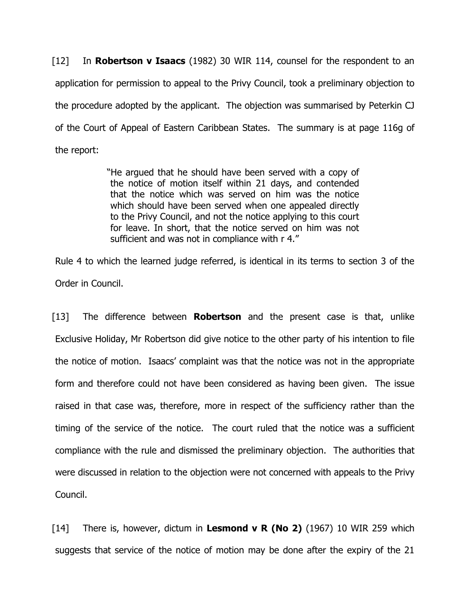[12] In **Robertson v Isaacs** (1982) 30 WIR 114, counsel for the respondent to an application for permission to appeal to the Privy Council, took a preliminary objection to the procedure adopted by the applicant. The objection was summarised by Peterkin CJ of the Court of Appeal of Eastern Caribbean States. The summary is at page 116g of the report:

> "He argued that he should have been served with a copy of the notice of motion itself within 21 days, and contended that the notice which was served on him was the notice which should have been served when one appealed directly to the Privy Council, and not the notice applying to this court for leave. In short, that the notice served on him was not sufficient and was not in compliance with r 4."

Rule 4 to which the learned judge referred, is identical in its terms to section 3 of the Order in Council.

[13] The difference between **Robertson** and the present case is that, unlike Exclusive Holiday, Mr Robertson did give notice to the other party of his intention to file the notice of motion. Isaacs' complaint was that the notice was not in the appropriate form and therefore could not have been considered as having been given. The issue raised in that case was, therefore, more in respect of the sufficiency rather than the timing of the service of the notice. The court ruled that the notice was a sufficient compliance with the rule and dismissed the preliminary objection. The authorities that were discussed in relation to the objection were not concerned with appeals to the Privy Council.

[14] There is, however, dictum in Lesmond v R (No 2) (1967) 10 WIR 259 which suggests that service of the notice of motion may be done after the expiry of the 21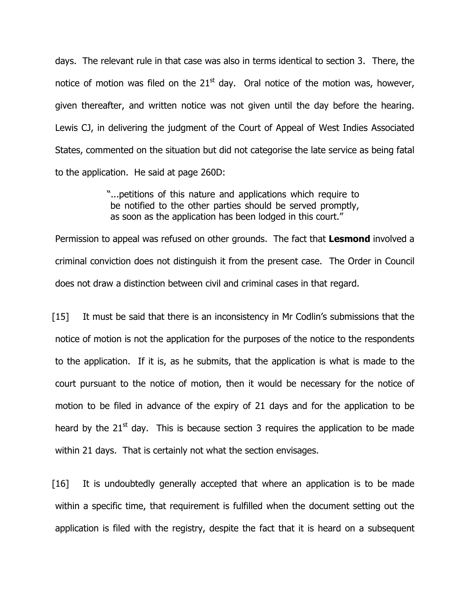days. The relevant rule in that case was also in terms identical to section 3. There, the notice of motion was filed on the  $21<sup>st</sup>$  day. Oral notice of the motion was, however, given thereafter, and written notice was not given until the day before the hearing. Lewis CJ, in delivering the judgment of the Court of Appeal of West Indies Associated States, commented on the situation but did not categorise the late service as being fatal to the application. He said at page 260D:

> "...petitions of this nature and applications which require to be notified to the other parties should be served promptly, as soon as the application has been lodged in this court."

Permission to appeal was refused on other grounds. The fact that Lesmond involved a criminal conviction does not distinguish it from the present case. The Order in Council does not draw a distinction between civil and criminal cases in that regard.

[15] It must be said that there is an inconsistency in Mr Codlin's submissions that the notice of motion is not the application for the purposes of the notice to the respondents to the application. If it is, as he submits, that the application is what is made to the court pursuant to the notice of motion, then it would be necessary for the notice of motion to be filed in advance of the expiry of 21 days and for the application to be heard by the  $21^{st}$  day. This is because section 3 requires the application to be made within 21 days. That is certainly not what the section envisages.

[16] It is undoubtedly generally accepted that where an application is to be made within a specific time, that requirement is fulfilled when the document setting out the application is filed with the registry, despite the fact that it is heard on a subsequent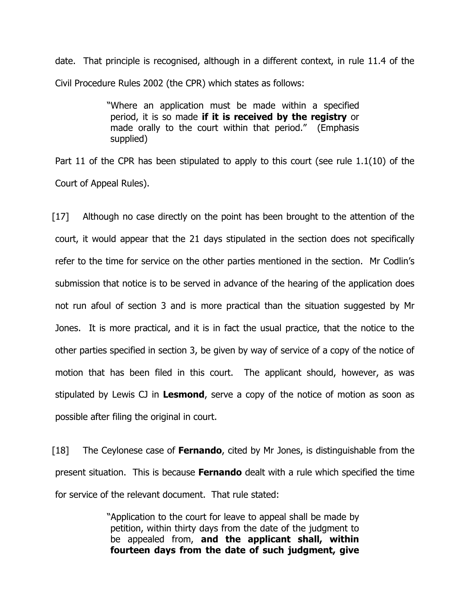date. That principle is recognised, although in a different context, in rule 11.4 of the Civil Procedure Rules 2002 (the CPR) which states as follows:

> "Where an application must be made within a specified period, it is so made if it is received by the registry or made orally to the court within that period." (Emphasis supplied)

Part 11 of the CPR has been stipulated to apply to this court (see rule 1.1(10) of the Court of Appeal Rules).

[17] Although no case directly on the point has been brought to the attention of the court, it would appear that the 21 days stipulated in the section does not specifically refer to the time for service on the other parties mentioned in the section. Mr Codlin's submission that notice is to be served in advance of the hearing of the application does not run afoul of section 3 and is more practical than the situation suggested by Mr Jones. It is more practical, and it is in fact the usual practice, that the notice to the other parties specified in section 3, be given by way of service of a copy of the notice of motion that has been filed in this court. The applicant should, however, as was stipulated by Lewis CJ in Lesmond, serve a copy of the notice of motion as soon as possible after filing the original in court.

 $\lceil 18 \rceil$  The Ceylonese case of **Fernando**, cited by Mr Jones, is distinguishable from the present situation. This is because **Fernando** dealt with a rule which specified the time for service of the relevant document. That rule stated:

> "Application to the court for leave to appeal shall be made by petition, within thirty days from the date of the judgment to be appealed from, and the applicant shall, within fourteen days from the date of such judgment, give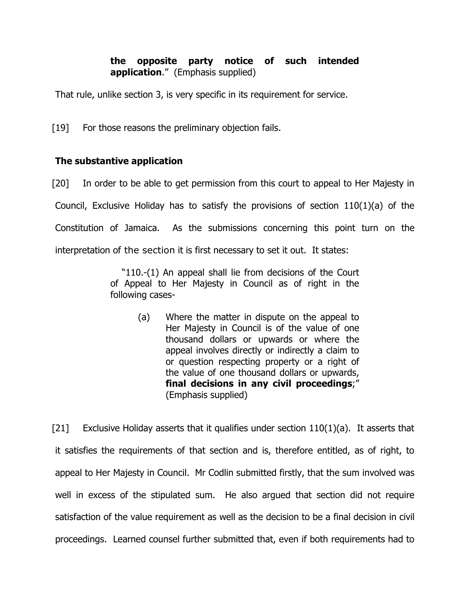# the opposite party notice of such intended application." (Emphasis supplied)

That rule, unlike section 3, is very specific in its requirement for service.

[19] For those reasons the preliminary objection fails.

# The substantive application

[20] In order to be able to get permission from this court to appeal to Her Majesty in Council, Exclusive Holiday has to satisfy the provisions of section 110(1)(a) of the Constitution of Jamaica. As the submissions concerning this point turn on the interpretation of the section it is first necessary to set it out. It states:

> "110.-(1) An appeal shall lie from decisions of the Court of Appeal to Her Majesty in Council as of right in the following cases-

> > (a) Where the matter in dispute on the appeal to Her Majesty in Council is of the value of one thousand dollars or upwards or where the appeal involves directly or indirectly a claim to or question respecting property or a right of the value of one thousand dollars or upwards, final decisions in any civil proceedings;" (Emphasis supplied)

[21] Exclusive Holiday asserts that it qualifies under section 110(1)(a). It asserts that it satisfies the requirements of that section and is, therefore entitled, as of right, to appeal to Her Majesty in Council. Mr Codlin submitted firstly, that the sum involved was well in excess of the stipulated sum. He also argued that section did not require satisfaction of the value requirement as well as the decision to be a final decision in civil proceedings. Learned counsel further submitted that, even if both requirements had to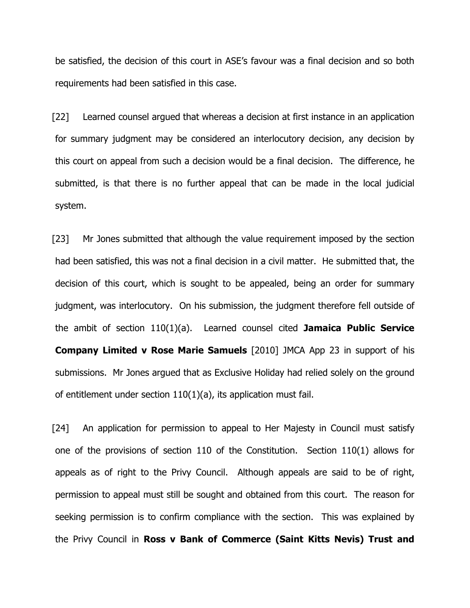be satisfied, the decision of this court in ASE's favour was a final decision and so both requirements had been satisfied in this case.

[22] Learned counsel argued that whereas a decision at first instance in an application for summary judgment may be considered an interlocutory decision, any decision by this court on appeal from such a decision would be a final decision. The difference, he submitted, is that there is no further appeal that can be made in the local judicial system.

[23] Mr Jones submitted that although the value requirement imposed by the section had been satisfied, this was not a final decision in a civil matter. He submitted that, the decision of this court, which is sought to be appealed, being an order for summary judgment, was interlocutory. On his submission, the judgment therefore fell outside of the ambit of section  $110(1)(a)$ . Learned counsel cited Jamaica Public Service Company Limited v Rose Marie Samuels [2010] JMCA App 23 in support of his submissions. Mr Jones argued that as Exclusive Holiday had relied solely on the ground of entitlement under section 110(1)(a), its application must fail.

[24] An application for permission to appeal to Her Majesty in Council must satisfy one of the provisions of section 110 of the Constitution. Section 110(1) allows for appeals as of right to the Privy Council. Although appeals are said to be of right, permission to appeal must still be sought and obtained from this court. The reason for seeking permission is to confirm compliance with the section. This was explained by the Privy Council in Ross v Bank of Commerce (Saint Kitts Nevis) Trust and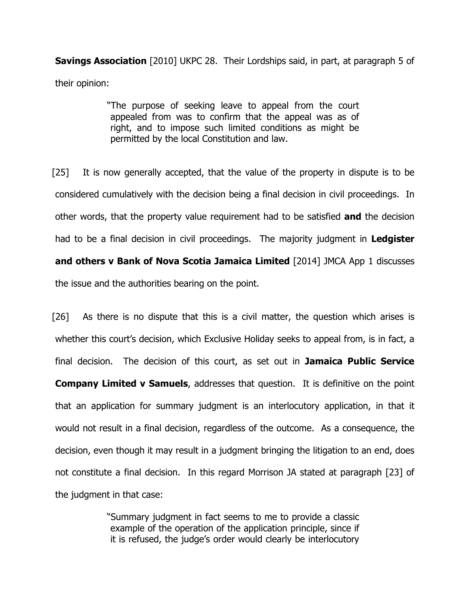**Savings Association** [2010] UKPC 28. Their Lordships said, in part, at paragraph 5 of their opinion:

> "The purpose of seeking leave to appeal from the court appealed from was to confirm that the appeal was as of right, and to impose such limited conditions as might be permitted by the local Constitution and law.

[25] It is now generally accepted, that the value of the property in dispute is to be considered cumulatively with the decision being a final decision in civil proceedings. In other words, that the property value requirement had to be satisfied **and** the decision had to be a final decision in civil proceedings. The majority judgment in Ledgister and others v Bank of Nova Scotia Jamaica Limited [2014] JMCA App 1 discusses the issue and the authorities bearing on the point.

[26] As there is no dispute that this is a civil matter, the question which arises is whether this court's decision, which Exclusive Holiday seeks to appeal from, is in fact, a final decision. The decision of this court, as set out in Jamaica Public Service **Company Limited v Samuels,** addresses that question. It is definitive on the point that an application for summary judgment is an interlocutory application, in that it would not result in a final decision, regardless of the outcome. As a consequence, the decision, even though it may result in a judgment bringing the litigation to an end, does not constitute a final decision. In this regard Morrison JA stated at paragraph [23] of the judgment in that case:

> "Summary judgment in fact seems to me to provide a classic example of the operation of the application principle, since if it is refused, the judge's order would clearly be interlocutory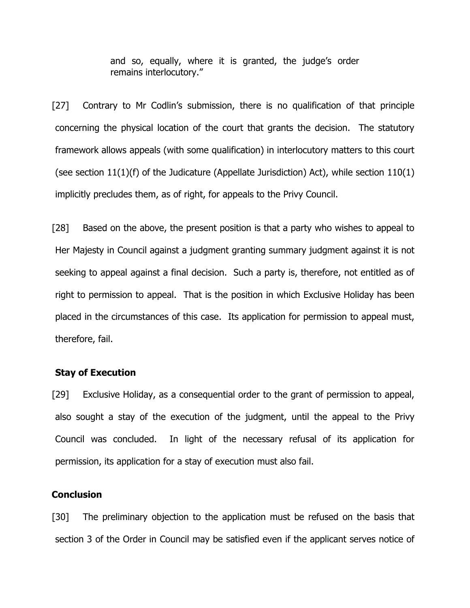and so, equally, where it is granted, the judge's order remains interlocutory."

[27] Contrary to Mr Codlin's submission, there is no qualification of that principle concerning the physical location of the court that grants the decision. The statutory framework allows appeals (with some qualification) in interlocutory matters to this court (see section  $11(1)(f)$  of the Judicature (Appellate Jurisdiction) Act), while section  $110(1)$ implicitly precludes them, as of right, for appeals to the Privy Council.

[28] Based on the above, the present position is that a party who wishes to appeal to Her Majesty in Council against a judgment granting summary judgment against it is not seeking to appeal against a final decision. Such a party is, therefore, not entitled as of right to permission to appeal. That is the position in which Exclusive Holiday has been placed in the circumstances of this case. Its application for permission to appeal must, therefore, fail.

### Stay of Execution

[29] Exclusive Holiday, as a consequential order to the grant of permission to appeal, also sought a stay of the execution of the judgment, until the appeal to the Privy Council was concluded. In light of the necessary refusal of its application for permission, its application for a stay of execution must also fail.

### **Conclusion**

[30] The preliminary objection to the application must be refused on the basis that section 3 of the Order in Council may be satisfied even if the applicant serves notice of